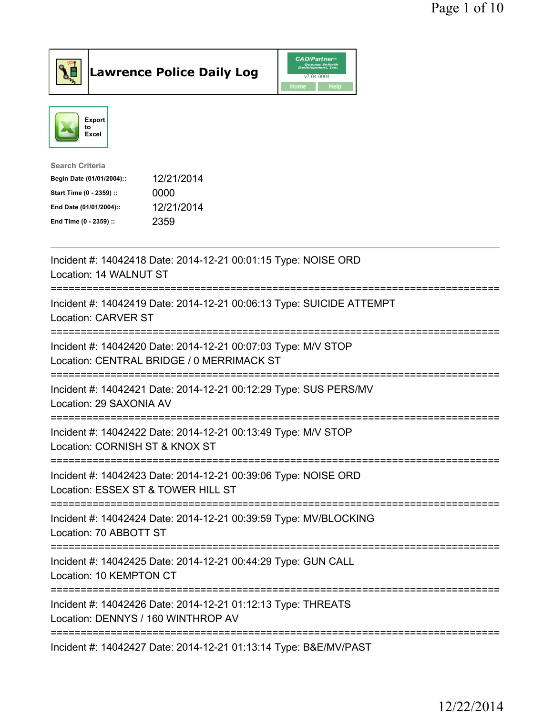



| <b>Search Criteria</b>    |            |
|---------------------------|------------|
| Begin Date (01/01/2004):: | 12/21/2014 |
| Start Time (0 - 2359) ::  | 0000       |
| End Date (01/01/2004)::   | 12/21/2014 |
| End Time (0 - 2359) ::    | 2359       |

| Incident #: 14042418 Date: 2014-12-21 00:01:15 Type: NOISE ORD<br>Location: 14 WALNUT ST                                                         |
|--------------------------------------------------------------------------------------------------------------------------------------------------|
| Incident #: 14042419 Date: 2014-12-21 00:06:13 Type: SUICIDE ATTEMPT<br><b>Location: CARVER ST</b>                                               |
| Incident #: 14042420 Date: 2014-12-21 00:07:03 Type: M/V STOP<br>Location: CENTRAL BRIDGE / 0 MERRIMACK ST                                       |
| Incident #: 14042421 Date: 2014-12-21 00:12:29 Type: SUS PERS/MV<br>Location: 29 SAXONIA AV                                                      |
| Incident #: 14042422 Date: 2014-12-21 00:13:49 Type: M/V STOP<br>Location: CORNISH ST & KNOX ST                                                  |
| Incident #: 14042423 Date: 2014-12-21 00:39:06 Type: NOISE ORD<br>Location: ESSEX ST & TOWER HILL ST<br>------------<br>------------------------ |
| Incident #: 14042424 Date: 2014-12-21 00:39:59 Type: MV/BLOCKING<br>Location: 70 ABBOTT ST                                                       |
| Incident #: 14042425 Date: 2014-12-21 00:44:29 Type: GUN CALL<br>Location: 10 KEMPTON CT                                                         |
| Incident #: 14042426 Date: 2014-12-21 01:12:13 Type: THREATS<br>Location: DENNYS / 160 WINTHROP AV                                               |
| Incident #: 14042427 Date: 2014-12-21 01:13:14 Type: B&E/MV/PAST                                                                                 |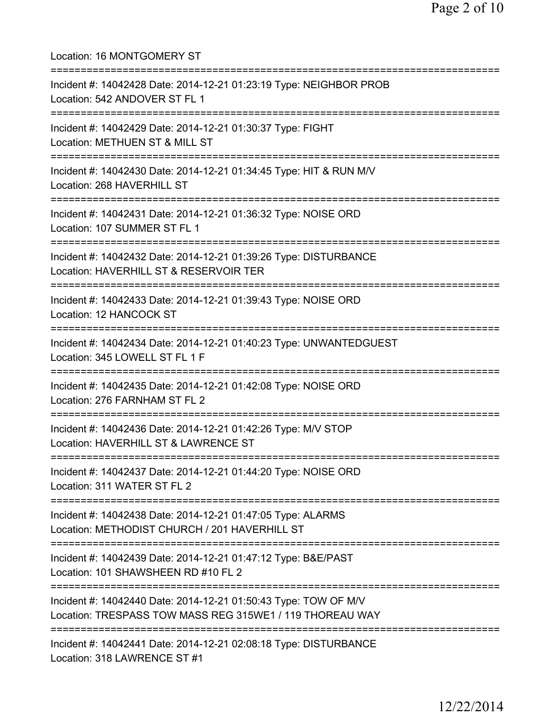Location: 16 MONTGOMERY ST =========================================================================== Incident #: 14042428 Date: 2014-12-21 01:23:19 Type: NEIGHBOR PROB Location: 542 ANDOVER ST FL 1 =========================================================================== Incident #: 14042429 Date: 2014-12-21 01:30:37 Type: FIGHT Location: METHUEN ST & MILL ST =========================================================================== Incident #: 14042430 Date: 2014-12-21 01:34:45 Type: HIT & RUN M/V Location: 268 HAVERHILL ST =========================================================================== Incident #: 14042431 Date: 2014-12-21 01:36:32 Type: NOISE ORD Location: 107 SUMMER ST FL 1 =========================================================================== Incident #: 14042432 Date: 2014-12-21 01:39:26 Type: DISTURBANCE Location: HAVERHILL ST & RESERVOIR TER =========================================================================== Incident #: 14042433 Date: 2014-12-21 01:39:43 Type: NOISE ORD Location: 12 HANCOCK ST =========================================================================== Incident #: 14042434 Date: 2014-12-21 01:40:23 Type: UNWANTEDGUEST Location: 345 LOWELL ST FL 1 F =========================================================================== Incident #: 14042435 Date: 2014-12-21 01:42:08 Type: NOISE ORD Location: 276 FARNHAM ST FL 2 =========================================================================== Incident #: 14042436 Date: 2014-12-21 01:42:26 Type: M/V STOP Location: HAVERHILL ST & LAWRENCE ST =========================================================================== Incident #: 14042437 Date: 2014-12-21 01:44:20 Type: NOISE ORD Location: 311 WATER ST FL 2 =========================================================================== Incident #: 14042438 Date: 2014-12-21 01:47:05 Type: ALARMS Location: METHODIST CHURCH / 201 HAVERHILL ST =========================================================================== Incident #: 14042439 Date: 2014-12-21 01:47:12 Type: B&E/PAST Location: 101 SHAWSHEEN RD #10 FL 2 =========================================================================== Incident #: 14042440 Date: 2014-12-21 01:50:43 Type: TOW OF M/V Location: TRESPASS TOW MASS REG 315WE1 / 119 THOREAU WAY =========================================================================== Incident #: 14042441 Date: 2014-12-21 02:08:18 Type: DISTURBANCE Location: 318 LAWRENCE ST #1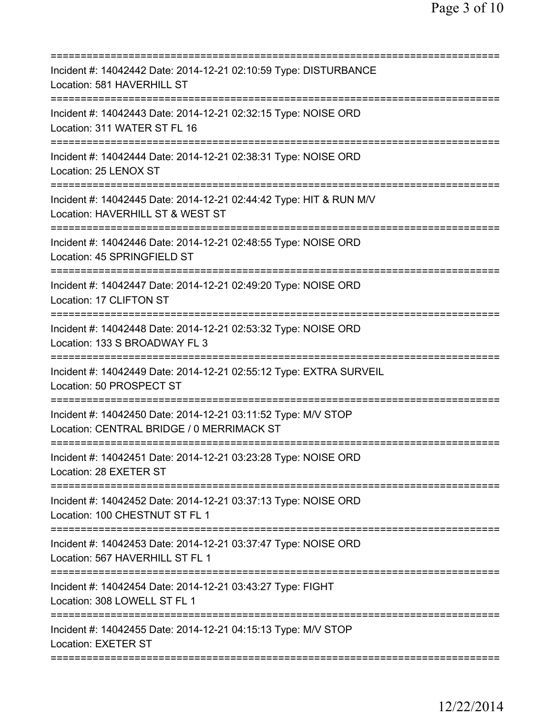| Incident #: 14042442 Date: 2014-12-21 02:10:59 Type: DISTURBANCE<br>Location: 581 HAVERHILL ST                                    |
|-----------------------------------------------------------------------------------------------------------------------------------|
| Incident #: 14042443 Date: 2014-12-21 02:32:15 Type: NOISE ORD<br>Location: 311 WATER ST FL 16                                    |
| Incident #: 14042444 Date: 2014-12-21 02:38:31 Type: NOISE ORD<br>Location: 25 LENOX ST<br>==============================         |
| Incident #: 14042445 Date: 2014-12-21 02:44:42 Type: HIT & RUN M/V<br>Location: HAVERHILL ST & WEST ST<br>===================     |
| Incident #: 14042446 Date: 2014-12-21 02:48:55 Type: NOISE ORD<br>Location: 45 SPRINGFIELD ST                                     |
| ====================================<br>Incident #: 14042447 Date: 2014-12-21 02:49:20 Type: NOISE ORD<br>Location: 17 CLIFTON ST |
| Incident #: 14042448 Date: 2014-12-21 02:53:32 Type: NOISE ORD<br>Location: 133 S BROADWAY FL 3<br>=============                  |
| Incident #: 14042449 Date: 2014-12-21 02:55:12 Type: EXTRA SURVEIL<br>Location: 50 PROSPECT ST                                    |
| Incident #: 14042450 Date: 2014-12-21 03:11:52 Type: M/V STOP<br>Location: CENTRAL BRIDGE / 0 MERRIMACK ST                        |
| Incident #: 14042451 Date: 2014-12-21 03:23:28 Type: NOISE ORD<br>Location: 28 EXETER ST                                          |
| Incident #: 14042452 Date: 2014-12-21 03:37:13 Type: NOISE ORD<br>Location: 100 CHESTNUT ST FL 1                                  |
| Incident #: 14042453 Date: 2014-12-21 03:37:47 Type: NOISE ORD<br>Location: 567 HAVERHILL ST FL 1                                 |
| ========================<br>Incident #: 14042454 Date: 2014-12-21 03:43:27 Type: FIGHT<br>Location: 308 LOWELL ST FL 1            |
| Incident #: 14042455 Date: 2014-12-21 04:15:13 Type: M/V STOP<br><b>Location: EXETER ST</b>                                       |
|                                                                                                                                   |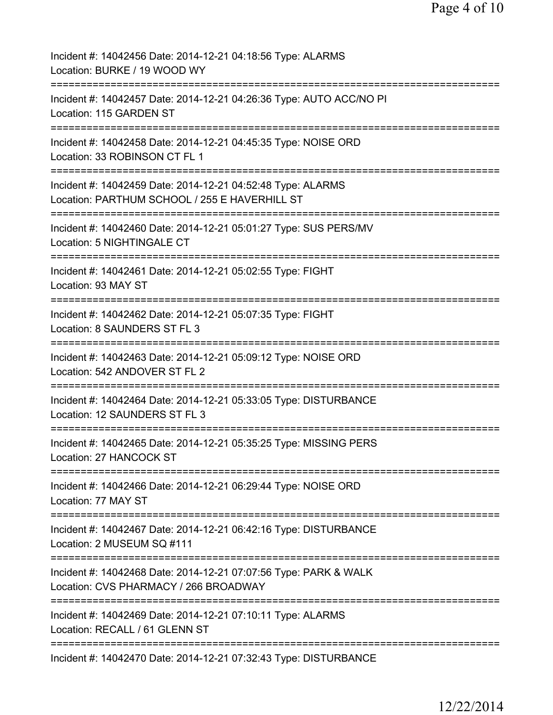| Incident #: 14042456 Date: 2014-12-21 04:18:56 Type: ALARMS<br>Location: BURKE / 19 WOOD WY                   |
|---------------------------------------------------------------------------------------------------------------|
| Incident #: 14042457 Date: 2014-12-21 04:26:36 Type: AUTO ACC/NO PI<br>Location: 115 GARDEN ST                |
| Incident #: 14042458 Date: 2014-12-21 04:45:35 Type: NOISE ORD<br>Location: 33 ROBINSON CT FL 1               |
| Incident #: 14042459 Date: 2014-12-21 04:52:48 Type: ALARMS<br>Location: PARTHUM SCHOOL / 255 E HAVERHILL ST  |
| Incident #: 14042460 Date: 2014-12-21 05:01:27 Type: SUS PERS/MV<br>Location: 5 NIGHTINGALE CT                |
| Incident #: 14042461 Date: 2014-12-21 05:02:55 Type: FIGHT<br>Location: 93 MAY ST                             |
| Incident #: 14042462 Date: 2014-12-21 05:07:35 Type: FIGHT<br>Location: 8 SAUNDERS ST FL 3<br>=============== |
| Incident #: 14042463 Date: 2014-12-21 05:09:12 Type: NOISE ORD<br>Location: 542 ANDOVER ST FL 2               |
| Incident #: 14042464 Date: 2014-12-21 05:33:05 Type: DISTURBANCE<br>Location: 12 SAUNDERS ST FL 3             |
| Incident #: 14042465 Date: 2014-12-21 05:35:25 Type: MISSING PERS<br>Location: 27 HANCOCK ST                  |
| Incident #: 14042466 Date: 2014-12-21 06:29:44 Type: NOISE ORD<br>Location: 77 MAY ST                         |
| Incident #: 14042467 Date: 2014-12-21 06:42:16 Type: DISTURBANCE<br>Location: 2 MUSEUM SQ #111                |
| Incident #: 14042468 Date: 2014-12-21 07:07:56 Type: PARK & WALK<br>Location: CVS PHARMACY / 266 BROADWAY     |
| Incident #: 14042469 Date: 2014-12-21 07:10:11 Type: ALARMS<br>Location: RECALL / 61 GLENN ST                 |
| Incident #: 14042470 Date: 2014-12-21 07:32:43 Type: DISTURBANCE                                              |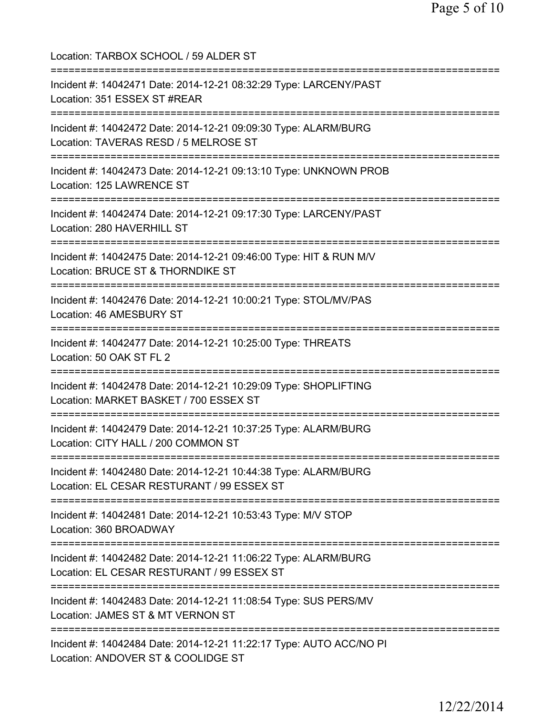Location: TARBOX SCHOOL / 59 ALDER ST =========================================================================== Incident #: 14042471 Date: 2014-12-21 08:32:29 Type: LARCENY/PAST Location: 351 ESSEX ST #REAR =========================================================================== Incident #: 14042472 Date: 2014-12-21 09:09:30 Type: ALARM/BURG Location: TAVERAS RESD / 5 MELROSE ST =========================================================================== Incident #: 14042473 Date: 2014-12-21 09:13:10 Type: UNKNOWN PROB Location: 125 LAWRENCE ST =========================================================================== Incident #: 14042474 Date: 2014-12-21 09:17:30 Type: LARCENY/PAST Location: 280 HAVERHILL ST =========================================================================== Incident #: 14042475 Date: 2014-12-21 09:46:00 Type: HIT & RUN M/V Location: BRUCE ST & THORNDIKE ST =========================================================================== Incident #: 14042476 Date: 2014-12-21 10:00:21 Type: STOL/MV/PAS Location: 46 AMESBURY ST =========================================================================== Incident #: 14042477 Date: 2014-12-21 10:25:00 Type: THREATS Location: 50 OAK ST FL 2 =========================================================================== Incident #: 14042478 Date: 2014-12-21 10:29:09 Type: SHOPLIFTING Location: MARKET BASKET / 700 ESSEX ST =========================================================================== Incident #: 14042479 Date: 2014-12-21 10:37:25 Type: ALARM/BURG Location: CITY HALL / 200 COMMON ST =========================================================================== Incident #: 14042480 Date: 2014-12-21 10:44:38 Type: ALARM/BURG Location: EL CESAR RESTURANT / 99 ESSEX ST =========================================================================== Incident #: 14042481 Date: 2014-12-21 10:53:43 Type: M/V STOP Location: 360 BROADWAY =========================================================================== Incident #: 14042482 Date: 2014-12-21 11:06:22 Type: ALARM/BURG Location: EL CESAR RESTURANT / 99 ESSEX ST =========================================================================== Incident #: 14042483 Date: 2014-12-21 11:08:54 Type: SUS PERS/MV Location: JAMES ST & MT VERNON ST =========================================================================== Incident #: 14042484 Date: 2014-12-21 11:22:17 Type: AUTO ACC/NO PI Location: ANDOVER ST & COOLIDGE ST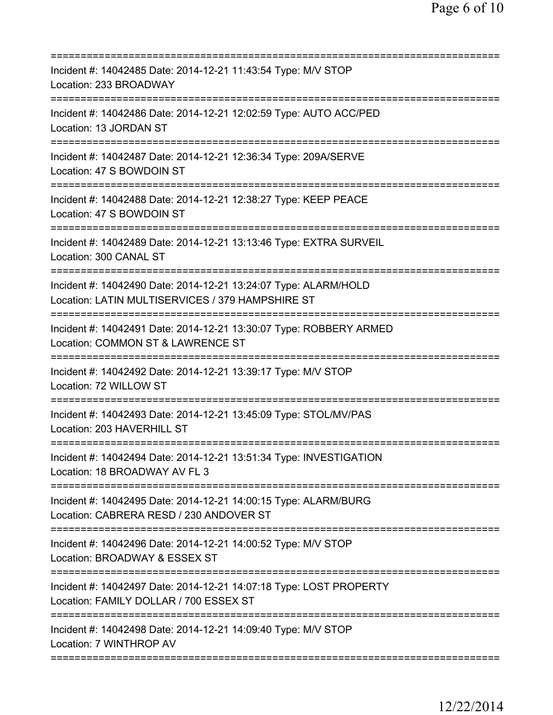| Incident #: 14042485 Date: 2014-12-21 11:43:54 Type: M/V STOP<br>Location: 233 BROADWAY                                                                       |
|---------------------------------------------------------------------------------------------------------------------------------------------------------------|
| Incident #: 14042486 Date: 2014-12-21 12:02:59 Type: AUTO ACC/PED<br>Location: 13 JORDAN ST                                                                   |
| Incident #: 14042487 Date: 2014-12-21 12:36:34 Type: 209A/SERVE<br>Location: 47 S BOWDOIN ST                                                                  |
| Incident #: 14042488 Date: 2014-12-21 12:38:27 Type: KEEP PEACE<br>Location: 47 S BOWDOIN ST                                                                  |
| Incident #: 14042489 Date: 2014-12-21 13:13:46 Type: EXTRA SURVEIL<br>Location: 300 CANAL ST                                                                  |
| Incident #: 14042490 Date: 2014-12-21 13:24:07 Type: ALARM/HOLD<br>Location: LATIN MULTISERVICES / 379 HAMPSHIRE ST                                           |
| Incident #: 14042491 Date: 2014-12-21 13:30:07 Type: ROBBERY ARMED<br>Location: COMMON ST & LAWRENCE ST<br>=================================<br>------------- |
| Incident #: 14042492 Date: 2014-12-21 13:39:17 Type: M/V STOP<br>Location: 72 WILLOW ST<br>;===================================                               |
| Incident #: 14042493 Date: 2014-12-21 13:45:09 Type: STOL/MV/PAS<br>Location: 203 HAVERHILL ST                                                                |
| Incident #: 14042494 Date: 2014-12-21 13:51:34 Type: INVESTIGATION<br>Location: 18 BROADWAY AV FL 3                                                           |
| Incident #: 14042495 Date: 2014-12-21 14:00:15 Type: ALARM/BURG<br>Location: CABRERA RESD / 230 ANDOVER ST                                                    |
| Incident #: 14042496 Date: 2014-12-21 14:00:52 Type: M/V STOP<br>Location: BROADWAY & ESSEX ST                                                                |
| Incident #: 14042497 Date: 2014-12-21 14:07:18 Type: LOST PROPERTY<br>Location: FAMILY DOLLAR / 700 ESSEX ST                                                  |
| ===================================<br>Incident #: 14042498 Date: 2014-12-21 14:09:40 Type: M/V STOP<br>Location: 7 WINTHROP AV                               |
|                                                                                                                                                               |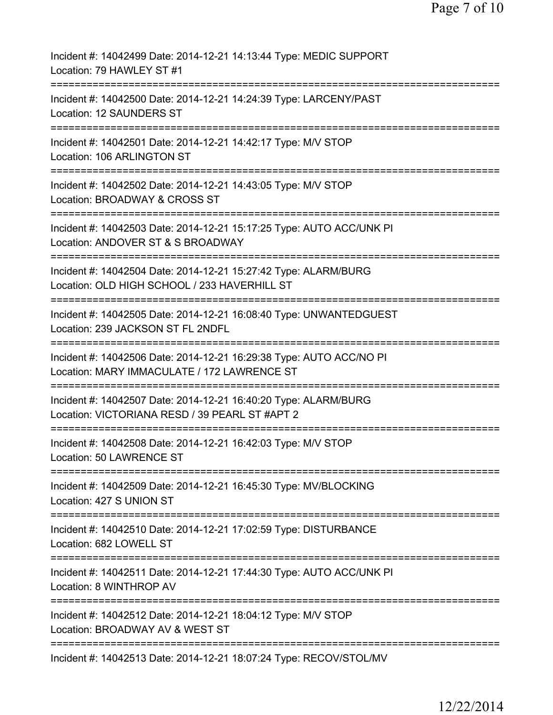| Incident #: 14042499 Date: 2014-12-21 14:13:44 Type: MEDIC SUPPORT<br>Location: 79 HAWLEY ST #1                                        |
|----------------------------------------------------------------------------------------------------------------------------------------|
| Incident #: 14042500 Date: 2014-12-21 14:24:39 Type: LARCENY/PAST<br>Location: 12 SAUNDERS ST                                          |
| Incident #: 14042501 Date: 2014-12-21 14:42:17 Type: M/V STOP<br>Location: 106 ARLINGTON ST                                            |
| Incident #: 14042502 Date: 2014-12-21 14:43:05 Type: M/V STOP<br>Location: BROADWAY & CROSS ST                                         |
| Incident #: 14042503 Date: 2014-12-21 15:17:25 Type: AUTO ACC/UNK PI<br>Location: ANDOVER ST & S BROADWAY                              |
| ===================<br>Incident #: 14042504 Date: 2014-12-21 15:27:42 Type: ALARM/BURG<br>Location: OLD HIGH SCHOOL / 233 HAVERHILL ST |
| Incident #: 14042505 Date: 2014-12-21 16:08:40 Type: UNWANTEDGUEST<br>Location: 239 JACKSON ST FL 2NDFL<br>========                    |
| Incident #: 14042506 Date: 2014-12-21 16:29:38 Type: AUTO ACC/NO PI<br>Location: MARY IMMACULATE / 172 LAWRENCE ST                     |
| Incident #: 14042507 Date: 2014-12-21 16:40:20 Type: ALARM/BURG<br>Location: VICTORIANA RESD / 39 PEARL ST #APT 2                      |
| Incident #: 14042508 Date: 2014-12-21 16:42:03 Type: M/V STOP<br>Location: 50 LAWRENCE ST                                              |
| Incident #: 14042509 Date: 2014-12-21 16:45:30 Type: MV/BLOCKING<br>Location: 427 S UNION ST                                           |
| Incident #: 14042510 Date: 2014-12-21 17:02:59 Type: DISTURBANCE<br>Location: 682 LOWELL ST                                            |
| Incident #: 14042511 Date: 2014-12-21 17:44:30 Type: AUTO ACC/UNK PI<br>Location: 8 WINTHROP AV                                        |
| =========================<br>Incident #: 14042512 Date: 2014-12-21 18:04:12 Type: M/V STOP<br>Location: BROADWAY AV & WEST ST          |
| Incident #: 14042513 Date: 2014-12-21 18:07:24 Type: RECOV/STOL/MV                                                                     |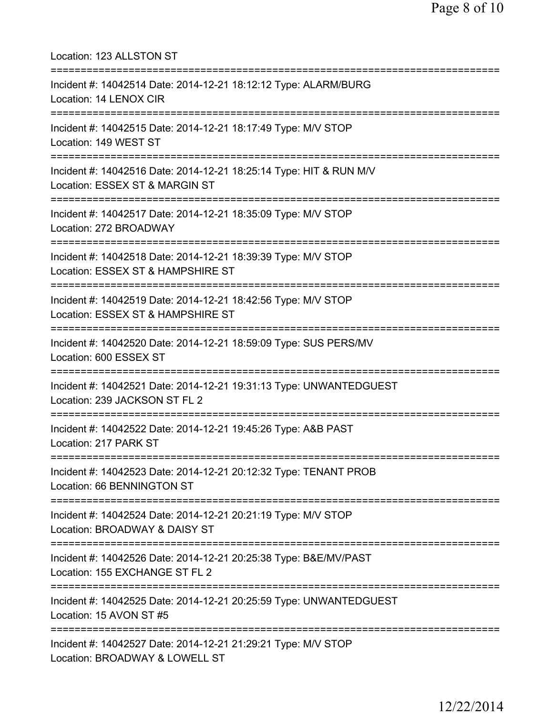| Location: 123 ALLSTON ST<br>====================                                                                                     |
|--------------------------------------------------------------------------------------------------------------------------------------|
| Incident #: 14042514 Date: 2014-12-21 18:12:12 Type: ALARM/BURG<br>Location: 14 LENOX CIR                                            |
| Incident #: 14042515 Date: 2014-12-21 18:17:49 Type: M/V STOP<br>Location: 149 WEST ST                                               |
| Incident #: 14042516 Date: 2014-12-21 18:25:14 Type: HIT & RUN M/V<br>Location: ESSEX ST & MARGIN ST                                 |
| Incident #: 14042517 Date: 2014-12-21 18:35:09 Type: M/V STOP<br>Location: 272 BROADWAY                                              |
| Incident #: 14042518 Date: 2014-12-21 18:39:39 Type: M/V STOP<br>Location: ESSEX ST & HAMPSHIRE ST                                   |
| Incident #: 14042519 Date: 2014-12-21 18:42:56 Type: M/V STOP<br>Location: ESSEX ST & HAMPSHIRE ST<br>============================== |
| Incident #: 14042520 Date: 2014-12-21 18:59:09 Type: SUS PERS/MV<br>Location: 600 ESSEX ST                                           |
| Incident #: 14042521 Date: 2014-12-21 19:31:13 Type: UNWANTEDGUEST<br>Location: 239 JACKSON ST FL 2                                  |
| Incident #: 14042522 Date: 2014-12-21 19:45:26 Type: A&B PAST<br>Location: 217 PARK ST                                               |
| Incident #: 14042523 Date: 2014-12-21 20:12:32 Type: TENANT PROB<br>Location: 66 BENNINGTON ST                                       |
| Incident #: 14042524 Date: 2014-12-21 20:21:19 Type: M/V STOP<br>Location: BROADWAY & DAISY ST                                       |
| Incident #: 14042526 Date: 2014-12-21 20:25:38 Type: B&E/MV/PAST<br>Location: 155 EXCHANGE ST FL 2                                   |
| Incident #: 14042525 Date: 2014-12-21 20:25:59 Type: UNWANTEDGUEST<br>Location: 15 AVON ST #5                                        |
| Incident #: 14042527 Date: 2014-12-21 21:29:21 Type: M/V STOP<br>Location: BROADWAY & LOWELL ST                                      |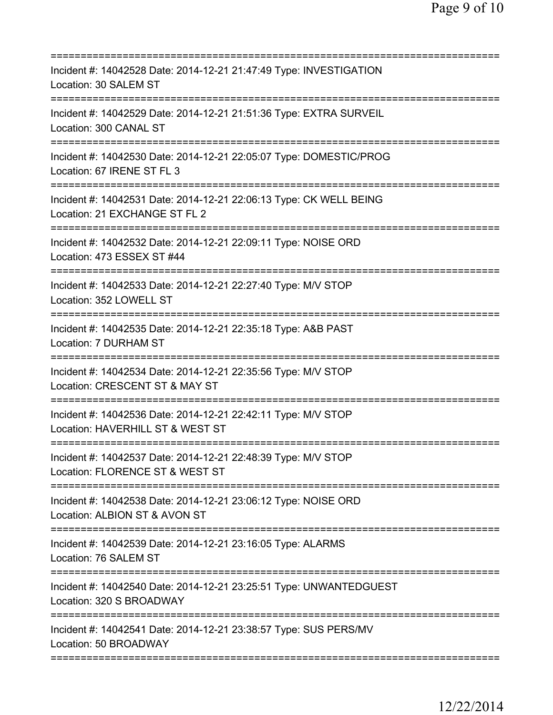| Incident #: 14042528 Date: 2014-12-21 21:47:49 Type: INVESTIGATION<br>Location: 30 SALEM ST                                           |
|---------------------------------------------------------------------------------------------------------------------------------------|
| Incident #: 14042529 Date: 2014-12-21 21:51:36 Type: EXTRA SURVEIL<br>Location: 300 CANAL ST                                          |
| Incident #: 14042530 Date: 2014-12-21 22:05:07 Type: DOMESTIC/PROG<br>Location: 67 IRENE ST FL 3<br>====================              |
| Incident #: 14042531 Date: 2014-12-21 22:06:13 Type: CK WELL BEING<br>Location: 21 EXCHANGE ST FL 2                                   |
| Incident #: 14042532 Date: 2014-12-21 22:09:11 Type: NOISE ORD<br>Location: 473 ESSEX ST #44<br>===================================== |
| Incident #: 14042533 Date: 2014-12-21 22:27:40 Type: M/V STOP<br>Location: 352 LOWELL ST                                              |
| Incident #: 14042535 Date: 2014-12-21 22:35:18 Type: A&B PAST<br>Location: 7 DURHAM ST<br>==================================          |
| Incident #: 14042534 Date: 2014-12-21 22:35:56 Type: M/V STOP<br>Location: CRESCENT ST & MAY ST                                       |
| Incident #: 14042536 Date: 2014-12-21 22:42:11 Type: M/V STOP<br>Location: HAVERHILL ST & WEST ST                                     |
| Incident #: 14042537 Date: 2014-12-21 22:48:39 Type: M/V STOP<br>Location: FLORENCE ST & WEST ST                                      |
| Incident #: 14042538 Date: 2014-12-21 23:06:12 Type: NOISE ORD<br>Location: ALBION ST & AVON ST                                       |
| Incident #: 14042539 Date: 2014-12-21 23:16:05 Type: ALARMS<br>Location: 76 SALEM ST                                                  |
| Incident #: 14042540 Date: 2014-12-21 23:25:51 Type: UNWANTEDGUEST<br>Location: 320 S BROADWAY                                        |
| Incident #: 14042541 Date: 2014-12-21 23:38:57 Type: SUS PERS/MV<br>Location: 50 BROADWAY                                             |
|                                                                                                                                       |